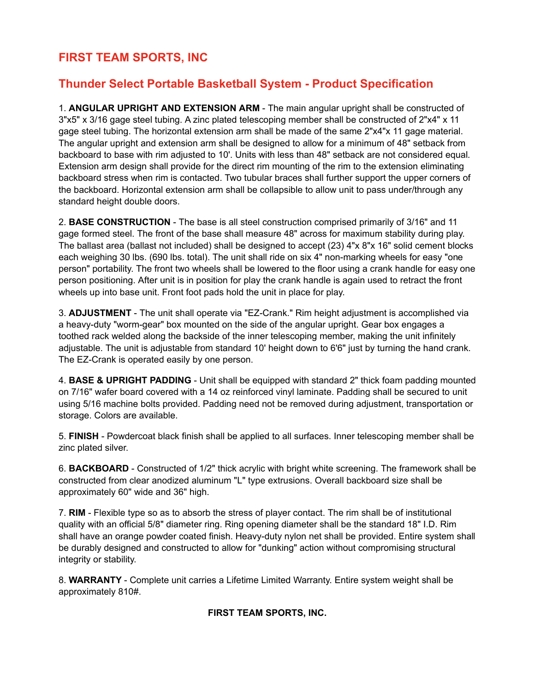## **FIRST TEAM SPORTS, INC**

## **Thunder Select Portable Basketball System - Product Specification**

1. **ANGULAR UPRIGHT AND EXTENSION ARM** - The main angular upright shall be constructed of 3"x5" x 3/16 gage steel tubing. A zinc plated telescoping member shall be constructed of 2"x4" x 11 gage steel tubing. The horizontal extension arm shall be made of the same 2"x4"x 11 gage material. The angular upright and extension arm shall be designed to allow for a minimum of 48" setback from backboard to base with rim adjusted to 10'. Units with less than 48" setback are not considered equal. Extension arm design shall provide for the direct rim mounting of the rim to the extension eliminating backboard stress when rim is contacted. Two tubular braces shall further support the upper corners of the backboard. Horizontal extension arm shall be collapsible to allow unit to pass under/through any standard height double doors.

2. **BASE CONSTRUCTION** - The base is all steel construction comprised primarily of 3/16" and 11 gage formed steel. The front of the base shall measure 48" across for maximum stability during play. The ballast area (ballast not included) shall be designed to accept (23) 4"x 8"x 16" solid cement blocks each weighing 30 lbs. (690 lbs. total). The unit shall ride on six 4" non-marking wheels for easy "one person" portability. The front two wheels shall be lowered to the floor using a crank handle for easy one person positioning. After unit is in position for play the crank handle is again used to retract the front wheels up into base unit. Front foot pads hold the unit in place for play.

3. **ADJUSTMENT** - The unit shall operate via "EZ-Crank." Rim height adjustment is accomplished via a heavy-duty "worm-gear" box mounted on the side of the angular upright. Gear box engages a toothed rack welded along the backside of the inner telescoping member, making the unit infinitely adjustable. The unit is adjustable from standard 10' height down to 6'6" just by turning the hand crank. The EZ-Crank is operated easily by one person.

4. **BASE & UPRIGHT PADDING** - Unit shall be equipped with standard 2" thick foam padding mounted on 7/16" wafer board covered with a 14 oz reinforced vinyl laminate. Padding shall be secured to unit using 5/16 machine bolts provided. Padding need not be removed during adjustment, transportation or storage. Colors are available.

5. **FINISH** - Powdercoat black finish shall be applied to all surfaces. Inner telescoping member shall be zinc plated silver.

6. **BACKBOARD** - Constructed of 1/2" thick acrylic with bright white screening. The framework shall be constructed from clear anodized aluminum "L" type extrusions. Overall backboard size shall be approximately 60" wide and 36" high.

7. **RIM** - Flexible type so as to absorb the stress of player contact. The rim shall be of institutional quality with an official 5/8" diameter ring. Ring opening diameter shall be the standard 18" I.D. Rim shall have an orange powder coated finish. Heavy-duty nylon net shall be provided. Entire system shall be durably designed and constructed to allow for "dunking" action without compromising structural integrity or stability.

8. **WARRANTY** - Complete unit carries a Lifetime Limited Warranty. Entire system weight shall be approximately 810#.

## **FIRST TEAM SPORTS, INC.**